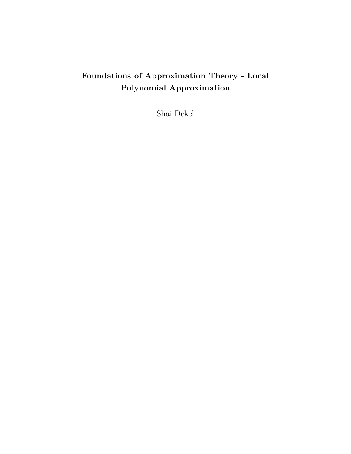# Foundations of Approximation Theory - Local Polynomial Approximation

Shai Dekel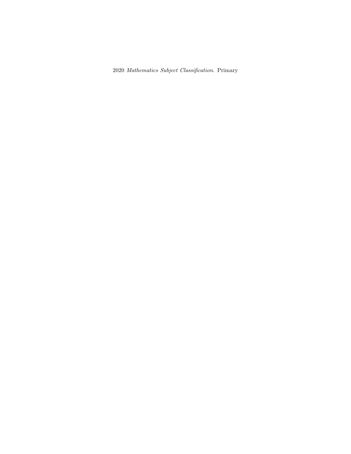Mathematics Subject Classification. Primary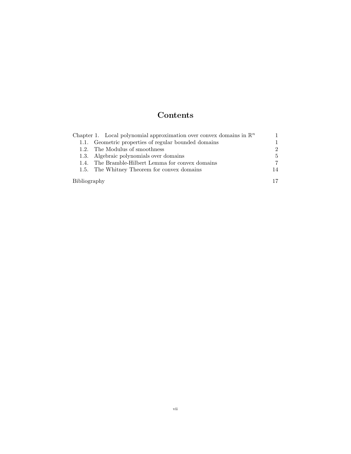# Contents

|              | Chapter 1. Local polynomial approximation over convex domains in $\mathbb{R}^n$ |    |
|--------------|---------------------------------------------------------------------------------|----|
|              | 1.1. Geometric properties of regular bounded domains                            |    |
|              | 1.2. The Modulus of smoothness                                                  |    |
|              | 1.3. Algebraic polynomials over domains                                         | 5  |
|              | 1.4. The Bramble-Hilbert Lemma for convex domains                               | 7  |
|              | 1.5. The Whitney Theorem for convex domains                                     | 14 |
| Bibliography |                                                                                 |    |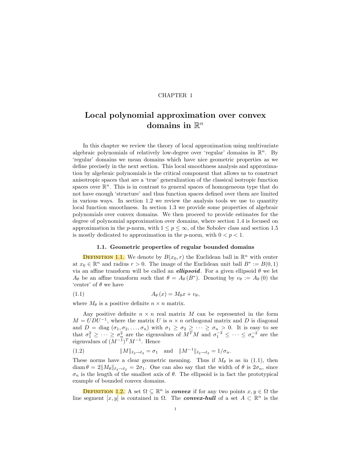## CHAPTER 1

# Local polynomial approximation over convex domains in  $\mathbb{R}^n$

In this chapter we review the theory of local approximation using multivariate algebraic polynomials of relatively low-degree over 'regular' domains in  $\mathbb{R}^n$ . By 'regular' domains we mean domains which have nice geometric properties as we define precisely in the next section. This local smoothness analysis and approximation by algebraic polynomials is the critical component that allows us to construct anisotropic spaces that are a 'true' generalization of the classical isotropic function spaces over  $\mathbb{R}^n$ . This is in contrast to general spaces of homogeneous type that do not have enough 'structure' and thus function spaces defined over them are limited in various ways. In section 1.2 we review the analysis tools we use to quantity local function smoothness. In section 1.3 we provide some properties of algebraic polynomials over convex domains. We then proceed to provide estimates for the degree of polynomial approximation over domains, where section 1.4 is focused on approximation in the p-norm, with  $1 \leq p \leq \infty$ , of the Sobolev class and section 1.5 is mostly dedicated to approximation in the p-norm, with  $0 < p < 1$ .

# 1.1. Geometric properties of regular bounded domains

**DEFINITION 1.1.** We denote by  $B(x_0, r)$  the Euclidean ball in  $\mathbb{R}^n$  with center at  $x_0 \in \mathbb{R}^n$  and radius  $r > 0$ . The image of the Euclidean unit ball  $B^* := B(0, 1)$ via an affine transform will be called an *ellipsoid*. For a given ellipsoid  $\theta$  we let  $A_{\theta}$  be an affine transform such that  $\theta = A_{\theta}(B^*)$ . Denoting by  $v_{\theta} := A_{\theta}(0)$  the 'center' of  $\theta$  we have

$$
(1.1) \t\t A_{\theta}(x) = M_{\theta}x + v_{\theta},
$$

where  $M_{\theta}$  is a positive definite  $n \times n$  matrix.

Any positive definite  $n \times n$  real matrix M can be represented in the form  $M = UDU^{-1}$ , where the matrix U is  $n \times n$  orthogonal matrix and D is diagonal and  $D = \text{diag}(\sigma_1, \sigma_2, \dots, \sigma_n)$  with  $\sigma_1 \geq \sigma_2 \geq \dots \geq \sigma_n > 0$ . It is easy to see that  $\sigma_1^2 \geq \cdots \geq \sigma_n^2$  are the eigenvalues of  $M^T M$  and  $\sigma_1^{-2} \leq \cdots \leq \sigma_n^{-2}$  are the eigenvalues of  $(M^{-1})^T M^{-1}$ . Hence

(1.2) 
$$
||M||_{\ell_2 \to \ell_2} = \sigma_1 \text{ and } ||M^{-1}||_{\ell_2 \to \ell_2} = 1/\sigma_n.
$$

These norms have a clear geometric meaning. Thus if  $M_{\theta}$  is as in (1.1), then  $\dim \theta = 2\|M_{\theta}\|_{\ell_2\to\ell_2} = 2\sigma_1$ . One can also say that the width of  $\theta$  is  $2\sigma_n$ , since  $\sigma_n$  is the length of the smallest axis of  $\theta$ . The ellipsoid is in fact the prototypical example of bounded convex domains.

**DEFINITION 1.2.** A set  $\Omega \subseteq \mathbb{R}^n$  is *convex* if for any two points  $x, y \in \Omega$  the line segment  $[x, y]$  is contained in  $\Omega$ . The **convex-hull** of a set  $A \subset \mathbb{R}^n$  is the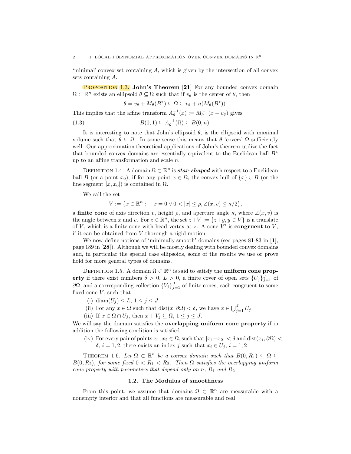'minimal' convex set containing A, which is given by the intersection of all convex sets containing A.

**PROPOSITION 1.3.** John's Theorem [21] For any bounded convex domain  $\Omega \subset \mathbb{R}^n$  exists an ellipsoid  $\theta \subseteq \Omega$  such that if  $v_{\theta}$  is the center of  $\theta$ , then

$$
\theta = v_{\theta} + M_{\theta}(B^*) \subseteq \Omega \subseteq v_{\theta} + n(M_{\theta}(B^*)).
$$

This implies that the affine transform  $A_{\theta}^{-1}(x) := M_{\theta}^{-1}(x - v_{\theta})$  gives

(1.3) 
$$
B(0,1) \subseteq A_{\theta}^{-1}(\Omega) \subseteq B(0,n).
$$

It is interesting to note that John's ellipsoid  $\theta$ , is the ellipsoid with maximal volume such that  $\theta \subseteq \Omega$ . In some sense this means that  $\theta$  'covers'  $\Omega$  sufficiently well. Our approximation theoretical applications of John's theorem utilize the fact that bounded convex domains are essentially equivalent to the Euclidean ball  $B^*$ up to an affine transformation and scale  $n$ .

DEFINITION 1.4. A domain  $\Omega \subset \mathbb{R}^n$  is **star-shaped** with respect to a Euclidean ball B (or a point  $x_0$ ), if for any point  $x \in \Omega$ , the convex-hull of  $\{x\} \cup B$  (or the line segment  $[x, x_0]$  is contained in  $\Omega$ .

We call the set

$$
V := \{ x \in \mathbb{R}^n : x = 0 \lor 0 < |x| \le \rho, \angle(x, v) \le \kappa/2 \},
$$

a **finite cone** of axis direction v, height  $\rho$ , and aperture angle  $\kappa$ , where  $\angle(x, v)$  is the angle between x and v. For  $z \in \mathbb{R}^n$ , the set  $z + V := \{z+y, y \in V\}$  is a translate of  $V$ , which is a finite cone with head vertex at z. A cone  $V'$  is **congruent** to  $V$ , if it can be obtained from V thorough a rigid motion.

We now define notions of 'minimally smooth' domains (see pages 81-83 in [1], page 189 in [28]). Although we will be mostly dealing with bounded convex domains and, in particular the special case ellipsoids, some of the results we use or prove hold for more general types of domains.

DEFINITION 1.5. A domain  $\Omega \subset \mathbb{R}^n$  is said to satisfy the **uniform cone prop**erty if there exist numbers  $\delta > 0, L > 0$ , a finite cover of open sets  $\{U_j\}_{j=1}^J$  of  $\partial\Omega$ , and a corresponding collection  ${V_j}_{j=1}^J$  of finite cones, each congruent to some fixed cone  $V$ , such that

- (i) diam $(U_j) \leq L, 1 \leq j \leq J$ .
- (ii) For any  $x \in \Omega$  such that  $dist(x, \partial \Omega) < \delta$ , we have  $x \in \bigcup_{j=1}^{J} U_j$ .
- (iii) If  $x \in \Omega \cap U_j$ , then  $x + V_j \subseteq \Omega$ ,  $1 \le j \le J$ .

We will say the domain satisfies the **overlapping uniform cone property** if in addition the following condition is satisfied

(iv) For every pair of points  $x_1, x_2 \in \Omega$ , such that  $|x_1-x_2| < \delta$  and  $dist(x_i, \partial \Omega) <$  $\delta, i = 1, 2$ , there exists an index j such that  $x_i \in U_j$ ,  $i = 1, 2$ 

THEOREM 1.6. Let  $\Omega \subset \mathbb{R}^n$  be a convex domain such that  $B(0, R_1) \subseteq \Omega \subseteq$  $B(0, R_2)$ , for some fixed  $0 < R_1 < R_2$ . Then  $\Omega$  satisfies the overlapping uniform cone property with parameters that depend only on n,  $R_1$  and  $R_2$ .

# 1.2. The Modulus of smoothness

From this point, we assume that domains  $\Omega \subset \mathbb{R}^n$  are measurable with a nonempty interior and that all functions are measurable and real.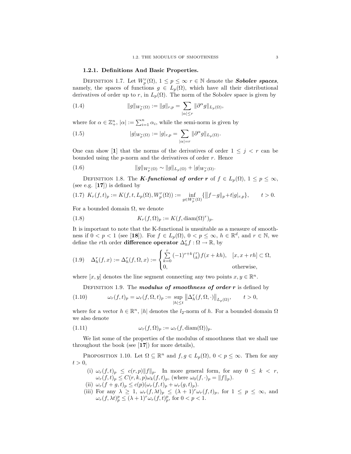### 1.2.1. Definitions And Basic Properties.

DEFINITION 1.7. Let  $W_p^r(\Omega)$ ,  $1 \leq p \leq \infty$   $r \in \mathbb{N}$  denote the **Sobolev spaces**, namely, the spaces of functions  $g \in L_p(\Omega)$ , which have all their distributional derivatives of order up to r, in  $L_p(\Omega)$ . The norm of the Sobolev space is given by

(1.4) 
$$
||g||_{W_p^r(\Omega)} := ||g||_{r,p} = \sum_{|\alpha| \le r} ||\partial^{\alpha} g||_{L_p(\Omega)},
$$

where for  $\alpha \in \mathbb{Z}_+^n$ ,  $|\alpha| := \sum_{i=1}^n \alpha_i$ , while the semi-norm is given by

(1.5) 
$$
|g|_{W_p^r(\Omega)} := |g|_{r,p} = \sum_{|\alpha|=r} ||\partial^{\alpha} g||_{L_p(\Omega)}.
$$

One can show [1] that the norms of the derivatives of order  $1 \leq j \leq r$  can be bounded using the  $p$ -norm and the derivatives of order  $r$ . Hence

(1.6) 
$$
||g||_{W_p^r(\Omega)} \sim ||g||_{L_p(\Omega)} + |g|_{W_p^r(\Omega)}.
$$

DEFINITION 1.8. The *K*-functional of order r of  $f \in L_p(\Omega)$ ,  $1 \le p \le \infty$ , (see e.g.  $[17]$ ) is defined by

$$
(1.7) \ \ K_r(f,t)_p := K(f,t,L_p(\Omega),W_p^r(\Omega)) := \inf_{g \in W_p^r(\Omega)} \{ \|f-g\|_p + t |g|_{r,p} \}, \qquad t > 0.
$$

For a bounded domain  $\Omega$ , we denote

(1.8) 
$$
K_r(f, \Omega)_p := K(f, \text{diam}(\Omega)^r)_p.
$$

It is important to note that the K-functional is unsuitable as a measure of smoothness if  $0 < p < 1$  (see [18]). For  $f \in L_p(\Omega)$ ,  $0 < p \le \infty$ ,  $h \in \mathbb{R}^d$ , and  $r \in \mathbb{N}$ , we define the *r*th order **difference operator**  $\Delta_h^r f : \Omega \to \mathbb{R}$ , by

(1.9) 
$$
\Delta_h^r(f, x) := \Delta_h^r(f, \Omega, x) := \begin{cases} \sum_{k=0}^r (-1)^{r+k} {r \choose k} f(x + kh), & [x, x + rh] \subset \Omega, \\ 0, & \text{otherwise,} \end{cases}
$$

where  $[x, y]$  denotes the line segment connecting any two points  $x, y \in \mathbb{R}^n$ .

DEFINITION 1.9. The modulus of smoothness of order  $r$  is defined by

(1.10) 
$$
\omega_r(f,t)_p = \omega_r(f,\Omega,t)_p := \sup_{|h| \le t} ||\Delta_h^r(f,\Omega,\cdot)||_{L_p(\Omega)}, \qquad t > 0,
$$

where for a vector  $h \in \mathbb{R}^n$ , |h| denotes the  $l_2$ -norm of h. For a bounded domain  $\Omega$ we also denote

(1.11) 
$$
\omega_r(f, \Omega)_p := \omega_r(f, \text{diam}(\Omega))_p.
$$

We list some of the properties of the modulus of smoothness that we shall use throughout the book (see  $[17]$ ) for more details),

PROPOSITION 1.10. Let  $\Omega \subseteq \mathbb{R}^n$  and  $f, g \in L_p(\Omega)$ ,  $0 < p \leq \infty$ . Then for any  $t > 0$ ,

- (i)  $\omega_r(f, t)_p \leq c(r, p) ||f||_p$ . In more general form, for any  $0 \leq k < r$ ,  $\omega_r(f,t)_p \leq C(r,k,p)\omega_k(f,t)_p$ , (where  $\omega_0(f,\cdot)_p = ||f||_p$ ).
- (ii)  $\omega_r(f+g,t)_p \le c(p)(\omega_r(f,t)_p + \omega_r(g,t)_p).$
- (iii) For any  $\lambda \geq 1$ ,  $\omega_r(f, \lambda t)_p \leq (\lambda + 1)^r \omega_r(f, t)_p$ , for  $1 \leq p \leq \infty$ , and  $\omega_r(f, \lambda t)_p^p \leq (\lambda + 1)^r \omega_r(f, t)_p^p$ , for  $0 < p < 1$ .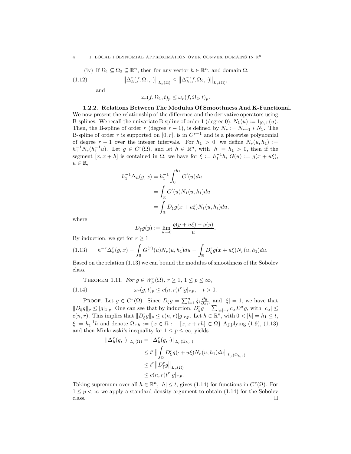#### 4 1. LOCAL POLYNOMIAL APPROXIMATION OVER CONVEX DOMAINS IN  $\mathbb{R}^n$

(iv) If 
$$
\Omega_1 \subseteq \Omega_2 \subseteq \mathbb{R}^n
$$
, then for any vector  $h \in \mathbb{R}^n$ , and domain  $\Omega$ ,

(1.12) 
$$
\left\|\Delta_h^r(f,\Omega_1,\cdot)\right\|_{L_p(\Omega)} \le \left\|\Delta_h^r(f,\Omega_2,\cdot)\right\|_{L_p(\Omega)},
$$

and

$$
\omega_r(f, \Omega_1, t)_p \le \omega_r(f, \Omega_2, t)_p.
$$

1.2.2. Relations Between The Modulus Of Smoothness And K-Functional. We now present the relationship of the difference and the derivative operators using B-splines. We recall the univariate B-spline of order 1 (degree 0),  $N_1(u) := 1_{[0,1]}(u)$ . Then, the B-spline of order r (degree  $r - 1$ ), is defined by  $N_r := N_{r-1} * N_1$ . The B-spline of order r is supported on  $[0, r]$ , is in  $C^{r-1}$  and is a piecewise polynomial of degree  $r - 1$  over the integer intervals. For  $h_1 > 0$ , we define  $N_r(u, h_1) :=$  $h_1^{-1}N_r(h_1^{-1}u)$ . Let  $g \in C^r(\Omega)$ , and let  $h \in \mathbb{R}^n$ , with  $|h| = h_1 > 0$ , then if the segment  $[x, x+h]$  is contained in  $\Omega$ , we have for  $\xi := h_1^{-1}h$ ,  $G(u) := g(x + u\xi)$ ,  $u \in \mathbb{R},$ 

$$
h_1^{-1} \Delta_h(g, x) = h_1^{-1} \int_0^{h_1} G'(u) du
$$
  
= 
$$
\int_{\mathbb{R}} G'(u) N_1(u, h_1) du
$$
  
= 
$$
\int_{\mathbb{R}} D_{\xi} g(x + u \xi) N_1(u, h_1) du,
$$

where

$$
D_{\xi}g(y) := \lim_{u \to 0} \frac{g(y + u\xi) - g(y)}{u}.
$$

By induction, we get for  $r \geq 1$ 

$$
(1.13) \t h_1^{-r} \Delta_h^r(g, x) = \int_{\mathbb{R}} G^{(r)}(u) N_r(u, h_1) du = \int_{\mathbb{R}} D_{\xi}^r g(x + u\xi) N_r(u, h_1) du.
$$

Based on the relation (1.13) we can bound the modulus of smoothness of the Sobolev class.

THEOREM 1.11. For 
$$
g \in W_p^r(\Omega)
$$
,  $r \ge 1$ ,  $1 \le p \le \infty$ ,  
(1.14) 
$$
\omega_r(g, t)_p \le c(n, r)t^r|g|_{r, p}, \quad t > 0.
$$

PROOF. Let  $g \in C^r(\Omega)$ . Since  $D_{\xi}g = \sum_{i=1}^n \xi_i \frac{\partial g}{\partial x_i}$ , and  $|\xi| = 1$ , we have that  $||D_{\xi}g||_{p} \leq |g|_{1,p}$ . One can see that by induction,  $D_{\xi}^{r}g = \sum_{|\alpha|=r} c_{\alpha}D^{\alpha}g$ , with  $|c_{\alpha}| \leq$  $c(n,r)$ . This implies that  $||D_{\xi}^{r}g||_{p} \leq c(n,r)|g|_{r,p}$ . Let  $h \in \mathbb{R}^{n}$ , with  $0 < |h| = h_{1} \leq t$ ,  $\xi := h_1^{-1}h$  and denote  $\Omega_{r,h} := \{x \in \Omega : \quad [x, x + rh] \subset \Omega\}$  Applying (1.9), (1.13) and then Minkowski's inequality for  $1 \le p \le \infty$ , yields

$$
\begin{aligned} \|\Delta_h^r(g,\cdot)\|_{L_p(\Omega)} &= \|\Delta_h^r(g,\cdot)\|_{L_p(\Omega_{h,r})} \\ &\leq t^r \left\| \int_{\mathbb{R}} D_\xi^r g(\cdot+u\xi) N_r(u,h_1) du \right\|_{L_p(\Omega_{h,r})} \\ &\leq t^r \left\| D_\xi^r g \right\|_{L_p(\Omega)} \\ &\leq c(n,r) t^r |g|_{r,p}. \end{aligned}
$$

Taking supremum over all  $h \in \mathbb{R}^n$ ,  $|h| \leq t$ , gives (1.14) for functions in  $C^r(\Omega)$ . For  $1 \leq p < \infty$  we apply a standard density argument to obtain (1.14) for the Sobolev class. class.  $\Box$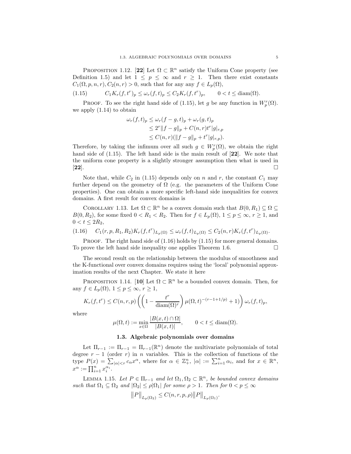PROPOSITION 1.12. [22] Let  $\Omega \subset \mathbb{R}^n$  satisfy the Uniform Cone property (see Definition 1.5) and let  $1 \leq p \leq \infty$  and  $r \geq 1$ . Then there exist constants  $C_1(\Omega, p, n, r), C_2(n, r) > 0$ , such that for any any  $f \in L_p(\Omega)$ ,

(1.15)  $C_1 K_r(f, t^r)_p \le \omega_r(f, t)_p \le C_2 K_r(f, t^r)$  $0 < t \leq \text{diam}(\Omega)$ .

**PROOF.** To see the right hand side of (1.15), let g be any function in  $W_p^r(\Omega)$ . we apply (1.14) to obtain

$$
\omega_r(f, t)_p \le \omega_r(f - g, t)_p + \omega_r(g, t)_p \n\le 2^r \|f - g\|_p + C(n, r)t^r |g|_{r,p} \n\le C(n, r)(\|f - g\|_p + t^r |g|_{r,p}).
$$

Therefore, by taking the infimum over all such  $g \in W_p^r(\Omega)$ , we obtain the right hand side of  $(1.15)$ . The left hand side is the main result of  $[22]$ . We note that the uniform cone property is a slightly stronger assumption then what is used in  $[22]$ .

Note that, while  $C_2$  in (1.15) depends only on n and r, the constant  $C_1$  may further depend on the geometry of  $\Omega$  (e.g. the parameters of the Uniform Cone properties). One can obtain a more specific left-hand side inequalities for convex domains. A first result for convex domains is

COROLLARY 1.13. Let  $\Omega \subset \mathbb{R}^n$  be a convex domain such that  $B(0, R_1) \subseteq \Omega \subseteq$  $B(0, R_2)$ , for some fixed  $0 < R_1 < R_2$ . Then for  $f \in L_p(\Omega)$ ,  $1 \le p \le \infty$ ,  $r \ge 1$ , and  $0 < t \leq 2R_2$ ,

$$
(1.16) \tC_1(r, p, R_1, R_2)K_r(f, t^r)_{L_p(\Omega)} \le \omega_r(f, t)_{L_p(\Omega)} \le C_2(n, r)K_r(f, t^r)_{L_p(\Omega)}.
$$

PROOF. The right hand side of  $(1.16)$  holds by  $(1.15)$  for more general domains. To prove the left hand side inequality one applies Theorem 1.6.

The second result on the relationship between the modulus of smoothness and the K-functional over convex domains requires using the 'local' polynomial approximation results of the next Chapter. We state it here

PROPOSITION 1.14. [10] Let  $\Omega \subset \mathbb{R}^n$  be a bounded convex domain. Then, for any  $f \in L_p(\Omega)$ ,  $1 \leq p \leq \infty$ ,  $r \geq 1$ ,

$$
K_r(f, t^r) \le C(n, r, p) \left( \left( 1 - \frac{t^r}{\text{diam}(\Omega)^r} \right) \mu(\Omega, t)^{-(r-1+1/p)} + 1) \right) \omega_r(f, t)_p,
$$

where

$$
\mu(\Omega, t) := \min_{x \in \Omega} \frac{|B(x, t) \cap \Omega|}{|B(x, t)|}, \qquad 0 < t \le \text{diam}(\Omega).
$$

### 1.3. Algebraic polynomials over domains

Let  $\Pi_{r-1} := \Pi_{r-1} = \Pi_{r-1}(\mathbb{R}^n)$  denote the multivariate polynomials of total degree  $r - 1$  (order r) in n variables. This is the collection of functions of the type  $P(x) = \sum_{|\alpha| \leq r} c_{\alpha} x^{\alpha}$ , where for  $\alpha \in \mathbb{Z}_{+}^{n}$ ,  $|\alpha| := \sum_{i=1}^{n} \alpha_i$ , and for  $x \in \mathbb{R}^{n}$ ,  $x^{\alpha} := \prod_{i=1}^n x_i^{\alpha_i}.$ 

LEMMA 1.15. Let  $P \in \Pi_{r-1}$  and let  $\Omega_1, \Omega_2 \subset \mathbb{R}^n$ , be bounded convex domains such that  $\Omega_1 \subseteq \Omega_2$  and  $|\Omega_2| \leq \rho |\Omega_1|$  for some  $\rho > 1$ . Then for  $0 < p \leq \infty$ 

$$
\big\|P\big\|_{L_p(\Omega_2)}\leq C(n,r,p,\rho)\big\|P\big\|_{L_p(\Omega_1)}.
$$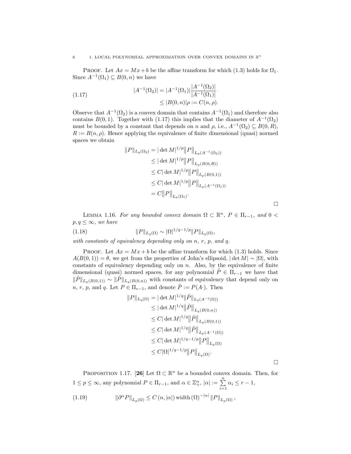PROOF. Let  $Ax = Mx + b$  be the affine transform for which (1.3) holds for  $\Omega_1$ . Since  $A^{-1}(\Omega_1) \subseteq B(0, n)$  we have

(1.17) 
$$
|A^{-1}(\Omega_2)| = |A^{-1}(\Omega_1)| \frac{|A^{-1}(\Omega_2)|}{|A^{-1}(\Omega_1)|} \leq |B(0, n)| \rho := C(n, \rho).
$$

Observe that  $A^{-1}(\Omega_2)$  is a convex domain that contains  $A^{-1}(\Omega_1)$  and therefore also contains  $B(0, 1)$ . Together with (1.17) this implies that the diameter of  $A^{-1}(\Omega_2)$ must be bounded by a constant that depends on n and  $\rho$ , i.e.,  $A^{-1}(\Omega_2) \subseteq B(0, R)$ ,  $R := R(n, \rho)$ . Hence applying the equivalence of finite dimensional (quasi) normed spaces we obtain

$$
||P||_{L_p(\Omega_2)} = |\det M|^{1/p} ||P||_{L_p(A^{-1}(\Omega_2))}
$$
  
\n
$$
\leq |\det M|^{1/p} ||P||_{L_p(B(0,R))}
$$
  
\n
$$
\leq C |\det M|^{1/p} ||P||_{L_p(B(0,1))}
$$
  
\n
$$
\leq C |\det M|^{1/p} ||P||_{L_p(A^{-1}(\Omega_1))}
$$
  
\n
$$
= C ||P||_{L_p(\Omega_1)}.
$$

 $\Box$ 

 $\Box$ 

LEMMA 1.16. For any bounded convex domain  $\Omega \subset \mathbb{R}^n$ ,  $P \in \Pi_{r-1}$ , and  $0 <$  $p, q \leq \infty$ , we have

(1.18) 
$$
||P||_{L_q(\Omega)} \sim |\Omega|^{1/q-1/p} ||P||_{L_p(\Omega)},
$$

with constants of equivalency depending only on  $n, r, p, and q$ .

PROOF. Let  $Ax = Mx + b$  be the affine transform for which (1.3) holds. Since  $A(B(0, 1)) = \theta$ , we get from the properties of John's ellipsoid,  $|\det M| \sim |\Omega|$ , with constants of equivalency depending only on  $n$ . Also, by the equivalence of finite dimensional (quasi) normed spaces, for any polynomial  $\tilde{P} \in \Pi_{r-1}$  we have that  $\|\tilde{P}\|_{L_p(B(0,1))} \sim \|\tilde{P}\|_{L_q(B(0,n))}$  with constants of equivalency that depend only on  $n, r, p$ , and q. Let  $P \in \Pi_{r-1}$ , and denote  $\tilde{P} := P(A)$ . Then

$$
||P||_{L_q(\Omega)} = |\det M|^{1/q} ||\tilde{P}||_{L_q(A^{-1}(\Omega))}
$$
  
\n
$$
\leq |\det M|^{1/q} ||\tilde{P}||_{L_q(B(0,n))}
$$
  
\n
$$
\leq C |\det M|^{1/q} ||\tilde{P}||_{L_p(B(0,1))}
$$
  
\n
$$
\leq C |\det M|^{1/q} ||\tilde{P}||_{L_p(A^{-1}(\Omega))}
$$
  
\n
$$
\leq C |\det M|^{1/q-1/p} ||P||_{L_p(\Omega)}
$$
  
\n
$$
\leq C |\Omega|^{1/q-1/p} ||P||_{L_p(\Omega)}.
$$

PROPOSITION 1.17. [26] Let  $\Omega \subset \mathbb{R}^n$  be a bounded convex domain. Then, for  $1 \leq p \leq \infty$ , any polynomial  $P \in \Pi_{r-1}$ , and  $\alpha \in \mathbb{Z}_+^n$ ,  $|\alpha| := \sum_{i=1}^n \alpha_i \leq r-1$ ,

(1.19) 
$$
\|\partial^{\alpha}P\|_{L_p(\Omega)} \leq C(n, |\alpha|) \operatorname{width}(\Omega)^{-|\alpha|} \|P\|_{L_p(\Omega)},
$$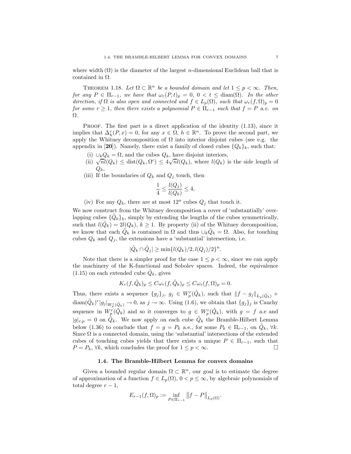where width  $(\Omega)$  is the diameter of the largest *n*-dimensional Euclidean ball that is contained in Ω.

THEOREM 1.18. Let  $\Omega \subset \mathbb{R}^n$  be a bounded domain and let  $1 \leq p < \infty$ . Then, for any  $P \in \Pi_{r-1}$ , we have that  $\omega_r(P,t)_p = 0$ ,  $0 < t \leq \text{diam}(\Omega)$ . In the other direction, if  $\Omega$  is also open and connected and  $f \in L_p(\Omega)$ , such that  $\omega_r(f, \Omega)_p = 0$ for some  $r \geq 1$ , then there exists a polynomial  $P \in \Pi_{r-1}$  such that  $f = P$  a.e. on Ω.

PROOF. The first part is a direct application of the identity  $(1.13)$ , since it implies that  $\Delta_h^r(P, x) = 0$ , for any  $x \in \Omega$ ,  $h \in \mathbb{R}^n$ . To prove the second part, we apply the Whitney decomposition of  $\Omega$  into interior disjoint cubes (see e.g. the appendix in [20]). Namely, there exist a family of closed cubes  $\{Q_k\}_k$ , such that:

- (i)  $\bigcup_k Q_k = \Omega$ , and the cubes  $Q_k$ , have disjoint interiors,
- (ii)  $\sqrt{n}l(Q_k) \leq \text{dist}(Q_k, \Omega^c) \leq 4\sqrt{n}l(Q_k)$ , where  $l(Q_k)$  is the side length of  $Q_k$
- (iii) If the boundaries of  $Q_k$  and  $Q_j$  touch, then

$$
\frac{1}{4} \le \frac{l(Q_j)}{l(Q_k)} \le 4,
$$

(iv) For any  $Q_k$ , there are at most  $12^n$  cubes  $Q_j$  that touch it.

We now construct from the Whitney decomposition a cover of 'substantially' overlapping cubes  $\{\tilde{Q}_k\}_k$ , simply by extending the lengths of the cubes symmetrically, such that  $l(\tilde{Q}_k) = 2l(Q_k), k \ge 1$ . By property (ii) of the Whitney decomposition, we know that each  $\tilde{Q}_k$  is contained in  $\Omega$  and thus  $\cup_k \tilde{Q}_k = \Omega$ . Also, for touching cubes  $Q_k$  and  $Q_j$ , the extensions have a 'substantial' intersection, i.e.

$$
|\tilde{Q}_k \cap \tilde{Q}_j| \ge \min\{l(Q_k)/2, l(Q_j)/2\}^n.
$$

Note that there is a simpler proof for the case  $1 \leq p < \infty$ , since we can apply the machinery of the K-functional and Sobolev spaces. Indeed, the equivalence  $(1.15)$  on each extended cube  $\tilde{Q}_k$ , gives

$$
K_r(f, \tilde{Q}_k)_p \leq C \omega_r(f, \tilde{Q}_k)_p \leq C \omega_r(f, \Omega)_p = 0.
$$

Thus, there exists a sequence  $\{g_j\}_j, g_j \in W_p^r(\tilde{Q}_k)$ , such that  $||f - g_j||_{L_p(\tilde{Q}_k)}$  +  $\text{diam}(\tilde{Q}_k)^r |g_j|_{W_p^r(\tilde{Q}_k)} \to 0$ , as  $j \to \infty$ . Using (1.6), we obtain that  $\{g_j\}_j$  is Cauchy sequence in  $W_p^r(\tilde{Q}_k)$  and so it converges to  $g \in W_p^r(\tilde{Q}_k)$ , with  $g = f$  a.e and  $|g|_{r,p} = 0$  on  $\tilde{Q}_k$ . We now apply on each cube  $\tilde{Q}_k$  the Bramble-Hilbert Lemma below (1.36) to conclude that  $f = g = P_k$  a.e., for some  $P_k \in \Pi_{r-1}$ , on  $\tilde{Q}_k$ ,  $\forall k$ . Since  $\Omega$  is a connected domain, using the 'substantial' intersections of the extended cubes of touching cubes yields that there exists a unique  $P \in \Pi_{r-1}$ , such that  $P = P_k, \forall k$ , which concludes the proof for  $1 \leq p \leq \infty$ .  $P = P_k$ ,  $\forall k$ , which concludes the proof for  $1 \leq p < \infty$ .

### 1.4. The Bramble-Hilbert Lemma for convex domains

Given a bounded regular domain  $\Omega \subset \mathbb{R}^n$ , our goal is to estimate the degree of approximation of a function  $f \in L_p(\Omega)$ ,  $0 < p \leq \infty$ , by algebraic polynomials of total degree  $r - 1$ ,

$$
E_{r-1}(f,\Omega)_p := \inf_{P \in \Pi_{r-1}} ||f - P||_{L_p(\Omega)}.
$$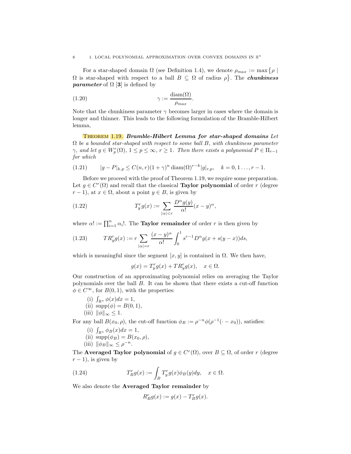#### 8 1. LOCAL POLYNOMIAL APPROXIMATION OVER CONVEX DOMAINS IN  $\mathbb{R}^n$

For a star-shaped domain  $\Omega$  (see Definition 1.4), we denote  $\rho_{max} := \max \{ \rho \mid \Omega \}$  $\Omega$  is star-shaped with respect to a ball  $B \subseteq \Omega$  of radius  $\rho$ . The **chunkiness** *parameter* of  $\Omega$  [3] is defined by

(1.20) 
$$
\gamma := \frac{\text{diam}(\Omega)}{\rho_{max}}.
$$

Note that the chunkiness parameter  $\gamma$  becomes larger in cases where the domain is longer and thinner. This leads to the following formulation of the Bramble-Hilbert lemma,

Theorem 1.19. Bramble-Hilbert Lemma for star-shaped domains Let  $\Omega$  be a bounded star-shaped with respect to some ball B, with chunkiness parameter  $\gamma$ , and let  $g \in W_p^r(\Omega)$ ,  $1 \le p \le \infty$ ,  $r \ge 1$ . Then there exists a polynomial  $P \in \Pi_{r-1}$ for which

(1.21) 
$$
|g - P|_{k,p} \le C(n,r)(1+\gamma)^n \operatorname{diam}(\Omega)^{r-k}|g|_{r,p}, \quad k = 0, 1, ..., r-1.
$$

Before we proceed with the proof of Theorem 1.19, we require some preparation. Let  $g \in C^r(\Omega)$  and recall that the classical **Taylor polynomial** of order r (degree  $r-1$ , at  $x \in \Omega$ , about a point  $y \in B$ , is given by

(1.22) 
$$
T_y^r g(x) := \sum_{|\alpha| < r} \frac{D^\alpha g(y)}{\alpha!} (x - y)^\alpha,
$$

where  $\alpha! := \prod_{i=1}^n \alpha_i!$ . The **Taylor remainder** of order r is then given by

(1.23) 
$$
TR_y^r g(x) := r \sum_{|\alpha|=r} \frac{(x-y)^{\alpha}}{\alpha!} \int_0^1 s^{r-1} D^{\alpha} g(x+s(y-x)) ds,
$$

which is meaningful since the segment  $[x, y]$  is contained in  $\Omega$ . We then have,

 $g(x) = T_y^r g(x) + T R_y^r g(x), \quad x \in \Omega.$ 

Our construction of an approximating polynomial relies on averaging the Taylor polynomials over the ball B. It can be shown that there exists a cut-off function  $\phi \in C^{\infty}$ , for  $B(0, 1)$ , with the properties:

- (i)  $\int_{\mathbb{R}^n} \phi(x) dx = 1$ , (ii)  $supp(\phi) = B(0, 1),$
- (iii)  $\|\phi\|_{\infty} < 1$ .

For any ball  $B(x_0, \rho)$ , the cut-off function  $\phi_B := \rho^{-n} \phi(\rho^{-1}(\cdot - x_0))$ , satisfies:

- (i)  $\int_{\mathbb{R}^n} \phi_B(x) dx = 1$ ,
- (ii)  $\text{supp}(\phi_B) = B(x_0, \rho),$
- (iii)  $\|\phi_B\|_{\infty} \leq \rho^{-n}$ .

The **Averaged Taylor polynomial** of  $g \in C^r(\Omega)$ , over  $B \subseteq \Omega$ , of order r (degree  $r - 1$ ), is given by

(1.24) 
$$
T_B^r g(x) := \int_B T_y^r g(x) \phi_B(y) dy, \quad x \in \Omega.
$$

We also denote the Averaged Taylor remainder by

$$
R_B^r g(x) := g(x) - T_B^r g(x).
$$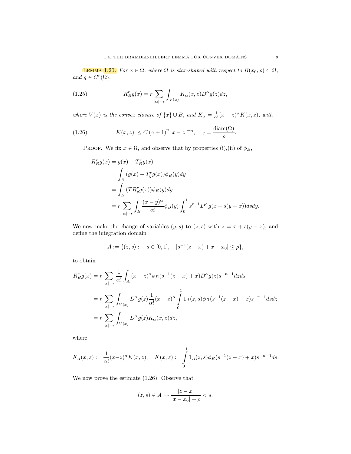**LEMMA** 1.20. For  $x \in \Omega$ , where  $\Omega$  is star-shaped with respect to  $B(x_0, \rho) \subset \Omega$ , and  $g \in C^r(\Omega)$ ,

(1.25) 
$$
R_B^r g(x) = r \sum_{|\alpha|=r} \int_{V(x)} K_{\alpha}(x, z) D^{\alpha} g(z) dz,
$$

where  $V(x)$  is the convex closure of  $\{x\} \cup B$ , and  $K_{\alpha} = \frac{1}{\alpha!}(x-z)^{\alpha}K(x, z)$ , with

(1.26) 
$$
|K(x,z)| \le C (\gamma + 1)^n |x - z|^{-n}, \quad \gamma = \frac{\text{diam}(\Omega)}{\rho}.
$$

PROOF. We fix  $x \in \Omega$ , and observe that by properties (i),(ii) of  $\phi_B$ ,

$$
R_B^r g(x) = g(x) - T_B^r g(x)
$$
  
= 
$$
\int_B (g(x) - T_y^r g(x)) \phi_B(y) dy
$$
  
= 
$$
\int_B (T R_y^r g(x)) \phi_B(y) dy
$$
  
= 
$$
r \sum_{|\alpha|=r} \int_B \frac{(x-y)^{\alpha}}{\alpha!} \phi_B(y) \int_0^1 s^{r-1} D^{\alpha} g(x+s(y-x)) ds dy.
$$

We now make the change of variables  $(y, s)$  to  $(z, s)$  with  $z = x + s(y - x)$ , and define the integration domain

$$
A := \{ (z, s) : s \in [0, 1], |s^{-1}(z - x) + x - x_0| \le \rho \},\
$$

to obtain

$$
R_B^r g(x) = r \sum_{|\alpha|=r} \frac{1}{\alpha!} \int_A (x-z)^{\alpha} \phi_B(s^{-1}(z-x) + x) D^{\alpha} g(z) s^{-n-1} dz ds
$$
  
= 
$$
r \sum_{|\alpha|=r} \int_{V(x)} D^{\alpha} g(z) \frac{1}{\alpha!} (x-z)^{\alpha} \int_0^1 1_A(z,s) \phi_B(s^{-1}(z-x) + x) s^{-n-1} ds dz
$$
  
= 
$$
r \sum_{|\alpha|=r} \int_{V(x)} D^{\alpha} g(z) K_{\alpha}(x,z) dz,
$$

where

$$
K_{\alpha}(x, z) := \frac{1}{\alpha!} (x - z)^{\alpha} K(x, z), \quad K(x, z) := \int_{0}^{1} 1_{A}(z, s) \phi_{B}(s^{-1}(z - x) + x) s^{-n-1} ds.
$$

We now prove the estimate (1.26). Observe that

$$
(z,s)\in A\Rightarrow\frac{|z-x|}{|x-x_0|+\rho}
$$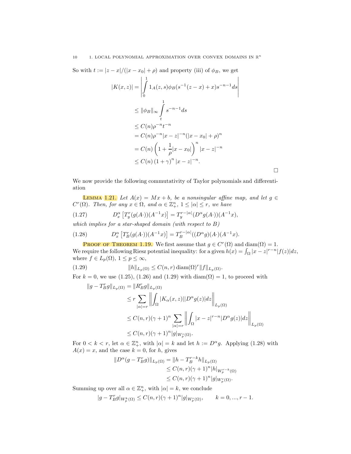So with  $t := |z - x|/(|x - x_0| + \rho)$  and property (iii) of  $\phi_B$ , we get

$$
|K(x, z)| = \left| \int_{0}^{1} 1_{A}(z, s) \phi_{B}(s^{-1}(z - x) + x) s^{-n-1} ds \right|
$$
  
\n
$$
\leq ||\phi_{B}||_{\infty} \int_{t}^{1} s^{-n-1} ds
$$
  
\n
$$
\leq C(n) \rho^{-n} t^{-n}
$$
  
\n
$$
= C(n) \rho^{-n} |x - z|^{-n} (|x - x_{0}| + \rho)^{n}
$$
  
\n
$$
= C(n) \left( 1 + \frac{1}{\rho} |x - x_{0}| \right)^{n} |x - z|^{-n}
$$
  
\n
$$
\leq C(n) (1 + \gamma)^{n} |x - z|^{-n}.
$$

We now provide the following commutativity of Taylor polynomials and differentiation

 $\Box$ 

**LEMMA** 1.21. Let  $A(x) = Mx + b$ , be a nonsingular affine map, and let  $g \in$  $C<sup>r</sup>(\Omega)$ . Then, for any  $x \in \Omega$ , and  $\alpha \in \mathbb{Z}_{+}^{n}$ ,  $1 \leq |\alpha| \leq r$ , we have

(1.27) 
$$
D_x^{\alpha} \left[ T_y^r(g(A)) (A^{-1} x) \right] = T_y^{r - |\alpha|} (D^{\alpha} g(A)) (A^{-1} x),
$$

which implies for a star-shaped domain (with respect to B)

(1.28) 
$$
D_x^{\alpha} \left[ T_B^r(g(A \cdot))(A^{-1}x) \right] = T_B^{r-|\alpha|}((D^{\alpha}g)(A \cdot)(A^{-1}x)).
$$

**PROOF OF THEOREM 1.19.** We first assume that  $g \in C^{r}(\Omega)$  and  $\text{diam}(\Omega) = 1$ . We require the following Riesz potential inequality: for a given  $h(x) = \int_{\Omega} |x - z|^{r-n} |f(z)| dz$ , where  $f \in L_p(\Omega)$ ,  $1 \le p \le \infty$ ,

(1.29) 
$$
||h||_{L_p(\Omega)} \leq C(n,r) \operatorname{diam}(\Omega)^r ||f||_{L_p(\Omega)}.
$$

For  $k = 0$ , we use (1.25), (1.26) and (1.29) with  $diam(\Omega) = 1$ , to proceed with

$$
||g - T_B^r g||_{L_p(\Omega)} = ||R_B^r g||_{L_p(\Omega)}
$$
  
\n
$$
\leq r \sum_{|\alpha|=r} \left\| \int_{\Omega} |K_{\alpha}(x, z)| |D^{\alpha} g(z)| dz \right\|_{L_p(\Omega)}
$$
  
\n
$$
\leq C(n, r)(\gamma + 1)^n \sum_{|\alpha|=r} \left\| \int_{\Omega} |x - z|^{r-n} |D^{\alpha} g(z)| dz \right\|_{L_p(\Omega)}
$$
  
\n
$$
\leq C(n, r)(\gamma + 1)^n |g|_{W_p^r(\Omega)}.
$$

For  $0 < k < r$ , let  $\alpha \in \mathbb{Z}_+^n$ , with  $|\alpha| = k$  and let  $h := D^{\alpha}g$ . Applying (1.28) with  $A(x) = x$ , and the case  $k = 0$ , for h, gives

$$
||D^{\alpha}(g - T_B^r g)||_{L_p(\Omega)} = ||h - T_B^{r-k} h||_{L_p(\Omega)}
$$
  
\n
$$
\leq C(n,r)(\gamma+1)^n |h||_{W_p^{r-k}(\Omega)}
$$
  
\n
$$
\leq C(n,r)(\gamma+1)^n |g||_{W_p^{r}(\Omega)}.
$$

Summing up over all  $\alpha \in \mathbb{Z}_+^n$ , with  $|\alpha|=k$ , we conclude

$$
|g-T_{B}^{r}g|_{W_{p}^{k}(\Omega)} \leq C(n,r)(\gamma+1)^{n}|g|_{W_{p}^{r}(\Omega)}, \qquad k=0,...,r-1.
$$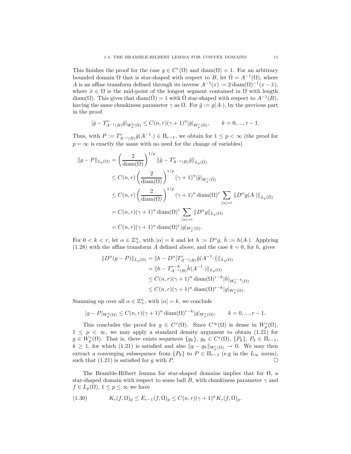This finishes the proof for the case  $g \in C^r(\Omega)$  and  $\text{diam}(\Omega) = 1$ . For an arbitrary bounded domain  $\Omega$  that is star-shaped with respect to B, let  $\tilde{\Omega} = A^{-1}(\Omega)$ , where A is an affine transform defined through its inverse  $A^{-1}(x) := 2 \operatorname{diam}(\Omega)^{-1}(x - \tilde{x}),$ where  $\tilde{x} \in \Omega$  is the mid-point of the longest segment contained in  $\Omega$  with length diam( $\Omega$ ). This gives that diam( $\tilde{\Omega}$ ) = 1 with  $\tilde{\Omega}$  star-shaped with respect to  $A^{-1}(B)$ , having the same chunkiness parameter  $\gamma$  as  $\Omega$ . For  $\tilde{g} := g(A)$ , by the previous part in the proof

$$
|\tilde{g} - T_{A^{-1}(B)}^r \tilde{g}|_{W_p^k(\tilde{\Omega})} \le C(n,r)(\gamma+1)^n |\tilde{g}|_{W_p^r(\tilde{\Omega})}, \qquad k = 0, ..., r-1.
$$

Thus, with  $P := T_{A^{-1}(B)}^r \tilde{g}(A^{-1} \cdot) \in \Pi_{r-1}$ , we obtain for  $1 \leq p < \infty$  (the proof for  $p = \infty$  is exactly the same with no need for the change of variables)

$$
||g - P||_{L_p(\Omega)} = \left(\frac{2}{\text{diam}(\Omega)}\right)^{1/p} ||\tilde{g} - T_{A^{-1}(B)}^r \tilde{g}||_{L_p(\tilde{\Omega})}
$$
  
\n
$$
\leq C(n, r) \left(\frac{2}{\text{diam}(\Omega)}\right)^{1/p} (\gamma + 1)^n |\tilde{g}|_{W_p^r(\tilde{\Omega})}
$$
  
\n
$$
\leq C(n, r) \left(\frac{2}{\text{diam}(\Omega)}\right)^{1/p} (\gamma + 1)^n \text{diam}(\Omega)^r \sum_{|\alpha| = r} ||D^{\alpha}g(A \cdot)||_{L_p(\tilde{\Omega})}
$$
  
\n
$$
= C(n, r) (\gamma + 1)^n \text{diam}(\Omega)^r \sum_{|\alpha| = r} ||D^{\alpha}g||_{L_p(\Omega)}
$$
  
\n
$$
= C(n, r) (\gamma + 1)^n \text{diam}(\Omega)^r |g|_{W_p^r(\Omega)}.
$$

For  $0 < k < r$ , let  $\alpha \in \mathbb{Z}_{+}^{n}$ , with  $|\alpha| = k$  and let  $h := D^{\alpha} g$ ,  $\tilde{h} := h(A)$ . Applying  $(1.28)$  with the affine transform A defined above, and the case  $k = 0$ , for h, gives

$$
||D^{\alpha}(g - P)||_{L_p(\Omega)} = ||h - D^{\alpha}[T_{A^{-1}(B)}^r \tilde{g}(A^{-1} \cdot)]||_{L_p(\Omega)}
$$
  
\n
$$
= ||h - T_{A^{-1}(B)}^{r-k} \tilde{h}(A^{-1} \cdot)||_{L_p(\Omega)}
$$
  
\n
$$
\leq C(n, r)(\gamma + 1)^n \operatorname{diam}(\Omega)^{r-k} |h|_{W_p^{r-k}(\Omega)}
$$
  
\n
$$
\leq C(n, r)(\gamma + 1)^n \operatorname{diam}(\Omega)^{r-k} |g|_{W_p^r(\Omega)}.
$$

Summing up over all  $\alpha \in \mathbb{Z}_+^n$ , with  $|\alpha|=k$ , we conclude

$$
|g - P|_{W_p^k(\Omega)} \le C(n,r)(\gamma+1)^n \operatorname{diam}(\Omega)^{r-k}|g|_{W_p^r(\Omega)}, \qquad k = 0, ..., r-1.
$$

This concludes the proof for  $g \in C^r(\Omega)$ . Since  $C^{\infty}(\Omega)$  is dense in  $W_p^r(\Omega)$ ,  $1 \leq p \leq \infty$ , we may apply a standard density argument to obtain  $(1.2\dot{1})$  for  $g \in W_p^r(\Omega)$ . That is, there exists sequences  $\{g_k\}, g_k \in C^r(\Omega)$ ,  $\{P_k\}, P_k \in \Pi_{r-1}$ ,  $k \geq 1$ , for which (1.21) is satisfied and also  $||g - g_k||_{W_p^r(\Omega)} \to 0$ . We may then extract a converging subsequence from  $\{P_k\}$  to  $P \in \Pi_{r-1}$  (e.g in the  $L_{\infty}$  norm), such that (1.21) is satisfied for q with P. such that  $(1.21)$  is satisfied for g with P.

The Bramble-Hilbert lemma for star-shaped domains implies that for  $\Omega$ , a star-shaped domain with respect to some ball B, with chunkiness parameter  $\gamma$  and  $f \in L_p(\Omega)$ ,  $1 \leq p \leq \infty$  we have

(1.30) 
$$
K_r(f, \Omega)_p \le E_{r-1}(f, \Omega)_p \le C(n, r)(\gamma + 1)^n K_r(f, \Omega)_p.
$$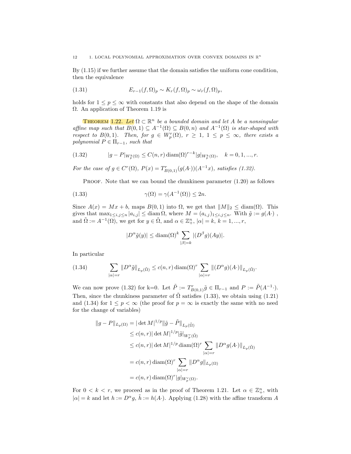By (1.15) if we further assume that the domain satisfies the uniform cone condition, then the equivalence

(1.31) 
$$
E_{r-1}(f,\Omega)_p \sim K_r(f,\Omega)_p \sim \omega_r(f,\Omega)_p,
$$

holds for  $1 \leq p \leq \infty$  with constants that also depend on the shape of the domain Ω. An application of Theorem 1.19 is

**THEOREM** 1.22. Let  $\Omega \subset \mathbb{R}^n$  be a bounded domain and let A be a nonsingular affine map such that  $B(0,1) \subseteq A^{-1}(\Omega) \subseteq B(0,n)$  and  $A^{-1}(\Omega)$  is star-shaped with respect to  $B(0,1)$ . Then, for  $g \in W_p^r(\Omega)$ ,  $r \geq 1$ ,  $1 \leq p \leq \infty$ , there exists a polynomial  $P \in \Pi_{r-1}$ , such that

(1.32) 
$$
|g - P|_{W_p^k(\Omega)} \le C(n, r) \operatorname{diam}(\Omega)^{r-k} |g|_{W_p^k(\Omega)}, \quad k = 0, 1, ..., r.
$$

For the case of  $g \in C^{r}(\Omega)$ ,  $P(x) = T_{B(0,1)}^{r}(g(A)) (A^{-1}x)$ , satisfies (1.32).

Proof. Note that we can bound the chunkiness parameter (1.20) as follows

(1.33) 
$$
\gamma(\Omega) = \gamma(A^{-1}(\Omega)) \le 2n.
$$

Since  $A(x) = Mx + b$ , maps  $B(0, 1)$  into  $\Omega$ , we get that  $||M||_2 \leq \text{diam}(\Omega)$ . This gives that  $\max_{1 \leq i,j \leq n} |a_{i,j}| \leq \text{diam }\Omega$ , where  $M = (a_{i,j})_{1 \leq i,j \leq n}$ . With  $\tilde{g} := g(A)$ , and  $\tilde{\Omega} := A^{-1}(\Omega)$ , we get for  $y \in \tilde{\Omega}$ , and  $\alpha \in \mathbb{Z}_+^n$ ,  $|\alpha| = k$ ,  $k = 1, ..., r$ ,

$$
|D^{\alpha}\tilde{g}(y)| \le \text{diam}(\Omega)^k \sum_{|\beta|=k} |(D^{\beta}g)(Ay)|.
$$

In particular

(1.34) 
$$
\sum_{|\alpha|=r} ||D^{\alpha}\tilde{g}||_{L_p(\tilde{\Omega})} \le c(n,r) \operatorname{diam}(\Omega)^r \sum_{|\alpha|=r} ||(D^{\alpha}g)(A\cdot)||_{L_p(\tilde{\Omega})}.
$$

We can now prove (1.32) for k=0. Let  $\tilde{P} := T_{B(0,1)}^r \tilde{g} \in \Pi_{r-1}$  and  $P := \tilde{P}(A^{-1} \cdot)$ . Then, since the chunkiness parameter of  $\tilde{\Omega}$  satisfies (1.33), we obtain using (1.21) and (1.34) for  $1 \leq p < \infty$  (the proof for  $p = \infty$  is exactly the same with no need for the change of variables)

$$
||g - P||_{L_p(\Omega)} = |\det M|^{1/p} ||\tilde{g} - \tilde{P}||_{L_p(\tilde{\Omega})}
$$
  
\n
$$
\leq c(n,r) |\det M|^{1/p} |\tilde{g}|_{W_p^r(\tilde{\Omega})}
$$
  
\n
$$
\leq c(n,r) |\det M|^{1/p} \operatorname{diam}(\Omega)^r \sum_{|\alpha|=r} ||D^{\alpha}g(A \cdot)||_{L_p(\tilde{\Omega})}
$$
  
\n
$$
= c(n,r) \operatorname{diam}(\Omega)^r \sum_{|\alpha|=r} ||D^{\alpha}g||_{L_p(\Omega)}
$$
  
\n
$$
= c(n,r) \operatorname{diam}(\Omega)^r |g|_{W_p^r(\Omega)}.
$$

For  $0 < k < r$ , we proceed as in the proof of Theorem 1.21. Let  $\alpha \in \mathbb{Z}_{+}^{n}$ , with  $|\alpha| = k$  and let  $h := D^{\alpha} g$ ,  $\tilde{h} := h(A)$ . Applying (1.28) with the affine transform A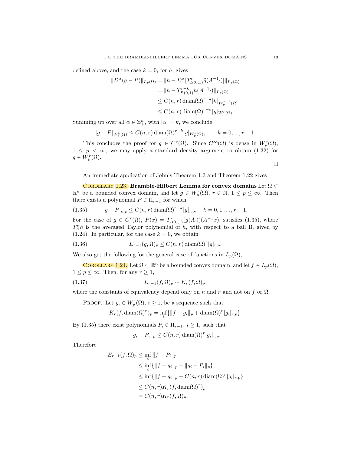defined above, and the case  $k = 0$ , for h, gives

$$
\|D^{\alpha}(g - P)\|_{L_p(\Omega)} = \|h - D^{\alpha}[T_{B(0,1)}^r \tilde{g}(A^{-1} \cdot)]\|_{L_p(\Omega)}
$$
  
\n
$$
= \|h - T_{B(0,1)}^{r-k} \tilde{h}(A^{-1} \cdot)\|_{L_p(\Omega)}
$$
  
\n
$$
\leq C(n,r) \operatorname{diam}(\Omega)^{r-k} |h|_{W_p^{r-k}(\Omega)}
$$
  
\n
$$
\leq C(n,r) \operatorname{diam}(\Omega)^{r-k} |g|_{W_p^r(\Omega)}.
$$

Summing up over all  $\alpha \in \mathbb{Z}_+^n$ , with  $|\alpha|=k$ , we conclude

$$
|g - P|_{W_p^k(\Omega)} \le C(n,r) \operatorname{diam}(\Omega)^{r-k} |g|_{W_p^r(\Omega)}, \qquad k = 0, ..., r - 1.
$$

This concludes the proof for  $g \in C^r(\Omega)$ . Since  $C^{\infty}(\Omega)$  is dense in  $W_p^r(\Omega)$ ,  $1 \leq p \leq \infty$ , we may apply a standard density argument to obtain (1.32) for  $g \in W_p^r(\Omega)$ .  $\Box$ 

An immediate application of John's Theorem 1.3 and Theorem 1.22 gives

COROLLARY 1.23. Bramble-Hilbert Lemma for convex domains Let  $\Omega \subset$  $\mathbb{R}^n$  be a bounded convex domain, and let  $g \in W_p^r(\Omega)$ ,  $r \in \mathbb{N}$ ,  $1 \le p \le \infty$ . Then there exists a polynomial  $P \in \Pi_{r-1}$  for which

(1.35) 
$$
|g - P|_{k,p} \le C(n,r) \operatorname{diam}(\Omega)^{r-k} |g|_{r,p}, \quad k = 0, 1, ..., r-1.
$$

For the case of  $g \in C^{r}(\Omega)$ ,  $P(x) = T_{B(0,1)}^{r}(g(A)) (A^{-1}x)$ , satisfies (1.35), where  $T_B^r h$  is the averaged Taylor polynomial of h, with respect to a ball B, given by  $(1.24)$ . In particular, for the case  $k = 0$ , we obtain

(1.36) 
$$
E_{r-1}(g,\Omega)_p \leq C(n,r)\operatorname{diam}(\Omega)^r|g|_{r,p}.
$$

We also get the following for the general case of functions in  $L_p(\Omega)$ ,

**COROLLARY** 1.24. Let  $\Omega \subset \mathbb{R}^n$  be a bounded convex domain, and let  $f \in L_p(\Omega)$ ,  $1 \leq p \leq \infty$ . Then, for any  $r \geq 1$ ,

(1.37) 
$$
E_{r-1}(f,\Omega)_p \sim K_r(f,\Omega)_p,
$$

where the constants of equivalency depend only on n and r and not on f or  $\Omega$ .

PROOF. Let  $g_i \in W_p^r(\Omega)$ ,  $i \geq 1$ , be a sequence such that

$$
K_r(f, \text{diam}(\Omega)^r)_p = \inf_i \{ ||f - g_i||_p + \text{diam}(\Omega)^r |g_i|_{r,p} \}.
$$

By (1.35) there exist polynomials  $P_i \in \Pi_{r-1}$ ,  $i \geq 1$ , such that

 $||g_i - P_i||_p \leq C(n,r) \operatorname{diam}(\Omega)^r |g_i|_{r,p}.$ 

Therefore

$$
E_{r-1}(f, \Omega)_p \le \inf_i \|f - P_i\|_p
$$
  
\n
$$
\le \inf_i \{ \|f - g_i\|_p + \|g_i - P_i\|_p \}
$$
  
\n
$$
\le \inf_i \{ \|f - g_i\|_p + C(n, r) \operatorname{diam}(\Omega)^r |g_i|_{r, p} \}
$$
  
\n
$$
\le C(n, r) K_r(f, \operatorname{diam}(\Omega)^r)_p
$$
  
\n
$$
= C(n, r) K_r(f, \Omega)_p.
$$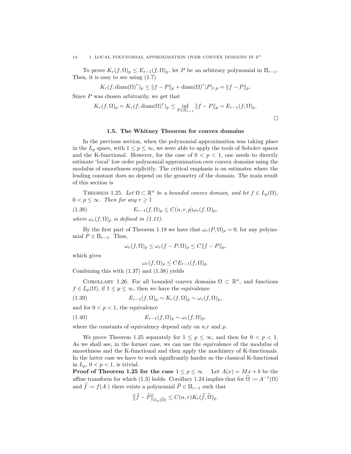#### 14 1. LOCAL POLYNOMIAL APPROXIMATION OVER CONVEX DOMAINS IN  $\mathbb{R}^n$

To prove  $K_r(f, \Omega)_p \leq E_{r-1}(f, \Omega)_p$ , let P be an arbitrary polynomial in  $\Pi_{r-1}$ . Then, it is easy to see using (1.7)

$$
K_r(f, \text{diam}(\Omega)^r)_p \le ||f - P||_p + \text{diam}(\Omega)^r |P|_{r,p} = ||f - P||_p.
$$

Since P was chosen arbitrarily, we get that

$$
K_r(f, \Omega)_p = K_r(f, \text{diam}(\Omega)^r)_p \le \inf_{P \in \Pi_{r-1}} ||f - P||_p = E_{r-1}(f, \Omega)_p.
$$

 $\Box$ 

#### 1.5. The Whitney Theorem for convex domains

In the previous section, when the polynomial approximation was taking place in the  $L_p$  space, with  $1 \leq p \leq \infty$ , we were able to apply the tools of Sobolev spaces and the K-functional. However, for the case of  $0 < p < 1$ , one needs to directly estimate 'local' low order polynomial approximation over convex domains using the modulus of smoothness explicitly. The critical emphasis is on estimates where the leading constant does no depend on the geometry of the domain. The main result of this section is

THEOREM 1.25. Let  $\Omega \subset \mathbb{R}^n$  be a bounded convex domain, and let  $f \in L_p(\Omega)$ ,  $0 < p \leq \infty$ . Then for any  $r \geq 1$ 

(1.38) 
$$
E_{r-1}(f,\Omega)_p \leq C(n,r,p)\omega_r(f,\Omega)_p,
$$

where  $\omega_r(f, \Omega_p)$  is defined in (1.11).

By the first part of Theorem 1.18 we have that  $\omega_r(P, \Omega)_p = 0$ , for any polynomial  $P \in \Pi_{r-1}$ . Thus,

$$
\omega_r(f, \Omega)_p \le \omega_r(f - P, \Omega)_p \le C||f - P||_p,
$$

which gives

$$
\omega_r(f, \Omega)_p \leq CE_{r-1}(f, \Omega)_p.
$$

Combining this with (1.37) and (1.38) yields

COROLLARY 1.26. For all bounded convex domains  $\Omega \subset \mathbb{R}^n$ , and functions  $f \in L_p(\Omega)$ , if  $1 \leq p \leq \infty$ , then we have the equivalence

(1.39) 
$$
E_{r-1}(f,\Omega)_p \sim K_r(f,\Omega)_p \sim \omega_r(f,\Omega)_p,
$$

and for  $0 < p < 1$ , the equivalence

(1.40) 
$$
E_{r-1}(f,\Omega)_p \sim \omega_r(f,\Omega)_p.
$$

where the constants of equivalency depend only on  $n,r$  and p.

We prove Theorem 1.25 separately for  $1 \leq p \leq \infty$ , and then for  $0 < p < 1$ . As we shall see, in the former case, we can use the equivalence of the modulus of smoothness and the K-functional and then apply the machinery of K-functionals. In the latter case we have to work significantly harder as the classical K-functional in  $L_p$ ,  $0 < p < 1$ , is trivial.

**Proof of Theorem 1.25 for the case**  $1 \leq p \leq \infty$  Let  $A(x) = Mx + b$  be the affine transform for which (1.3) holds. Corollary 1.24 implies that for  $\Omega := A^{-1}(\Omega)$ and  $\tilde{f} := f(A)$  there exists a polynomial  $\tilde{P} \in \Pi_{r-1}$  such that

$$
\left\| \widetilde{f} - \widetilde{P} \right\|_{L_p(\widetilde{\Omega})} \le C(n, r) K_r(\widetilde{f}, \widetilde{\Omega})_p.
$$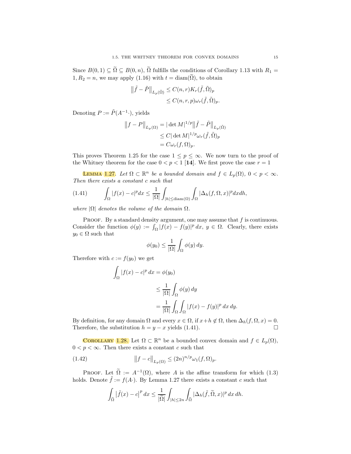Since  $B(0, 1) \subseteq \widetilde{\Omega} \subseteq B(0, n)$ ,  $\widetilde{\Omega}$  fulfills the conditions of Corollary 1.13 with  $R_1 =$  $1, R_2 = n$ , we may apply  $(1.16)$  with  $t = \text{diam}(\tilde{\Omega})$ , to obtain

$$
\|\tilde{f} - \tilde{P}\|_{L_p(\tilde{\Omega})} \leq C(n, r) K_r(\tilde{f}, \tilde{\Omega})_p
$$
  

$$
\leq C(n, r, p)\omega_r(\tilde{f}, \tilde{\Omega})_p.
$$

Denoting  $P := \tilde{P}(A^{-1} \cdot),$  yields

$$
||f - P||_{L_p(\Omega)} = |\det M|^{1/p} ||\tilde{f} - \tilde{P}||_{L_p(\tilde{\Omega})}
$$
  
\n
$$
\leq C |\det M|^{1/p} \omega_r(\tilde{f}, \tilde{\Omega})_p
$$
  
\n
$$
= C \omega_r(f, \Omega)_p.
$$

This proves Theorem 1.25 for the case  $1 \leq p \leq \infty$ . We now turn to the proof of the Whitney theorem for the case  $0 < p < 1$  [14]. We first prove the case  $r = 1$ 

**LEMMA** 1.27. Let  $\Omega \subset \mathbb{R}^n$  be a bounded domain and  $f \in L_p(\Omega)$ ,  $0 < p < \infty$ . Then there exists a constant c such that

(1.41) 
$$
\int_{\Omega} |f(x) - c|^p dx \leq \frac{1}{|\Omega|} \int_{|h| \leq \text{diam}(\Omega)} \int_{\Omega} |\Delta_h(f, \Omega, x)|^p dx dh,
$$

where  $|\Omega|$  denotes the volume of the domain  $\Omega$ .

PROOF. By a standard density argument, one may assume that  $f$  is continuous. Consider the function  $\phi(y) := \int_{\Omega} |f(x) - f(y)|^p dx$ ,  $y \in \Omega$ . Clearly, there exists  $y_0 \in \Omega$  such that

$$
\phi(y_0) \le \frac{1}{|\Omega|} \int_{\Omega} \phi(y) \, dy.
$$

Therefore with  $c := f(y_0)$  we get

$$
\int_{\Omega} |f(x) - c|^p dx = \phi(y_0)
$$
  
\n
$$
\leq \frac{1}{|\Omega|} \int_{\Omega} \phi(y) dy
$$
  
\n
$$
= \frac{1}{|\Omega|} \int_{\Omega} \int_{\Omega} |f(x) - f(y)|^p dx dy.
$$

By definition, for any domain  $\Omega$  and every  $x \in \Omega$ , if  $x+h \notin \Omega$ , then  $\Delta_h(f, \Omega, x) = 0$ .<br>Therefore, the substitution  $h = u - x$  yields (1.41) Therefore, the substitution  $h = y - x$  yields (1.41).

**COROLLARY** 1.28. Let  $\Omega \subset \mathbb{R}^n$  be a bounded convex domain and  $f \in L_p(\Omega)$ ,  $0 < p < \infty$ . Then there exists a constant c such that

(1.42) 
$$
||f - c||_{L_p(\Omega)} \le (2n)^{n/p} \omega_1(f, \Omega)_p.
$$

PROOF. Let  $\tilde{\Omega} := A^{-1}(\Omega)$ , where A is the affine transform for which (1.3) holds. Denote  $\tilde{f} := f(A)$ . By Lemma 1.27 there exists a constant c such that

$$
\int_{\widetilde{\Omega}} \left| \widetilde{f}(x) - c \right|^p dx \le \frac{1}{|\widetilde{\Omega}|} \int_{|h| \le 2n} \int_{\widetilde{\Omega}} |\Delta_h(\widetilde{f}, \widetilde{\Omega}, x)|^p dx dh.
$$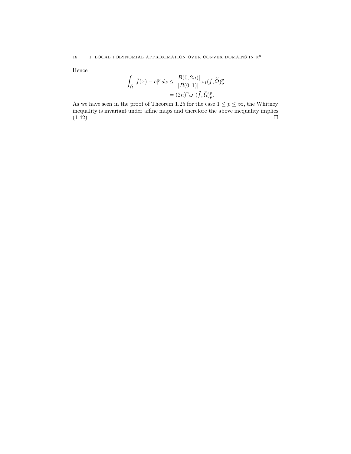Hence

$$
\int_{\tilde{\Omega}} |\tilde{f}(x) - c|^p dx \le \frac{|B(0, 2n)|}{|B(0, 1)|} \omega_1(\tilde{f}, \tilde{\Omega})_p^p
$$

$$
= (2n)^n \omega_1(\tilde{f}, \tilde{\Omega})_p^p.
$$

As we have seen in the proof of Theorem 1.25 for the case  $1 \le p \le \infty$ , the Whitney inequality is invariant under affine maps and therefore the above inequality implies  $(1.42)$ .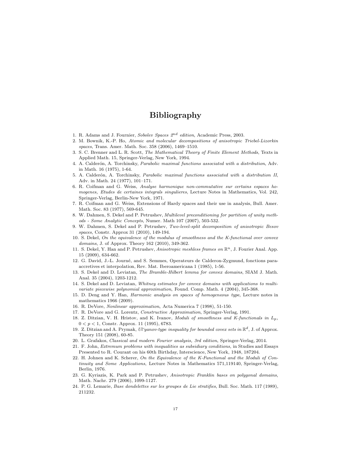# Bibliography

- 1. R. Adams and J. Fournier, Sobolev Spaces  $2^{nd}$  edition, Academic Press, 2003.
- 2. M. Bownik, K.-P. Ho, Atomic and molecular decompositions of anisotropic Triebel-Lizorkin spaces, Trans. Amer. Math. Soc. 358 (2006), 1469–1510.
- 3. S. C. Brenner and L. R. Scott, The Mathematical Theory of Finite Element Methods, Texts in Applied Math. 15, Springer-Verlag, New York, 1994.
- 4. A. Calderón, A. Torchinsky, Parabolic maximal functions associated with a distribution, Adv. in Math. 16 (1975), 1-64.
- 5. A. Calderón, A. Torchinsky, Parabolic maximal functions associated with a distribution II, Adv. in Math. 24 (1977), 101–171.
- 6. R. Coifman and G. Weiss, Analyse harmonique non-commutative sur certains espaces homogenes, Etudes de certaines integrals singulieres, Lecture Notes in Mathematics, Vol. 242, Springer-Verlag, Berlin-New York, 1971.
- 7. R. Coifman and G. Weiss, Extensions of Hardy spaces and their use in analysis, Bull. Amer. Math. Soc. 83 (1977), 569-645.
- 8. W. Dahmen, S. Dekel and P. Petrushev, Multilevel preconditioning for partition of unity methods - Some Analytic Concepts, Numer. Math 107 (2007), 503-532.
- 9. W. Dahmen, S. Dekel and P. Petrushev, Two-level-split decomposition of anisotropic Besov spaces, Constr. Approx 31 (2010), 149-194.
- 10. S. Dekel, On the equivalence of the modulus of smoothness and the K-functional over convex domains, J. of Approx. Theory 162 (2010), 349-362.
- 11. S. Dekel, Y. Han and P. Petrushev, Anisotropic meshless frames on  $\mathbb{R}^n$ , J. Fourier Anal. App. 15 (2009), 634-662.
- 12. G. David, J.-L. Journé, and S. Semmes, Operateurs de Calderon-Zygmund, fonctions paraaccretives et interpolation, Rev. Mat. Iberoamericana 1 (1985), 1-56.
- 13. S. Dekel and D. Leviatan, The Bramble-Hilbert lemma for convex domains, SIAM J. Math. Anal. 35 (2004), 1203-1212.
- 14. S. Dekel and D. Leviatan, Whitney estimates for convex domains with applications to multivariate piecewise polynomial approximation, Found. Comp. Math. 4 (2004), 345-368.
- 15. D. Deng and Y. Han, Harmonic analysis on spaces of homogeneous type, Lecture notes in mathematics 1966 (2009).
- 16. R. DeVore, Nonlinear approximation, Acta Numerica 7 (1998), 51-150.
- 17. R. DeVore and G. Lorentz, Constructive Approximation, Springer-Verlag, 1991.
- 18. Z. Ditzian, V. H. Hristov, and K. Ivanov, Moduli of smoothness and K-functionals in  $L_n$ ,  $0 < p < 1$ , Constr. Approx. 11 (1995), 6783.
- 19. Z. Ditzian and A. Prymak,  $U'$ yanov-type inequality for bounded covex sets in  $\mathbb{R}^d$ , J. of Approx. Theory 151 (2008), 60-85.
- 20. L. Grafakos, Classical and modern Fourier analysis, 3rd edition, Springer-Verlag, 2014.
- 21. F. John, Extremum problems with inequalities as subsidiary conditions, in Studies and Essays Presented to R. Courant on his 60th Birthday, Interscience, New York, 1948, 187204.
- 22. H. Johnen and K. Scherer, On the Equivalence of the K-Functional and the Moduli of Continuity and Some Applications, Lecture Notes in Mathematics 571,119140, Springer-Verlag, Berlin, 1976.
- 23. G. Kyriazis, K. Park and P. Petrushev, Anisotropic Franklin bases on polygonal domains, Math. Nachr. 279 (2006), 1099-1127.
- 24. P. G. Lemarie, Base dondelettes sur les groupes de Lie stratifies, Bull. Soc. Math. 117 (1989), 211232.